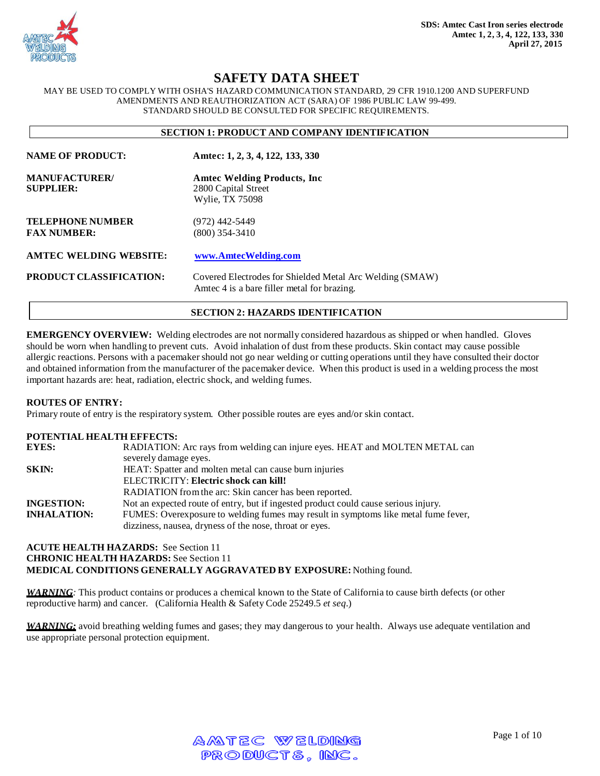

# **SAFETY DATA SHEET**

MAY BE USED TO COMPLY WITH OSHA'S HAZARD COMMUNICATION STANDARD, 29 CFR 1910.1200 AND SUPERFUND AMENDMENTS AND REAUTHORIZATION ACT (SARA) OF 1986 PUBLIC LAW 99-499. STANDARD SHOULD BE CONSULTED FOR SPECIFIC REQUIREMENTS.

#### **SECTION 1: PRODUCT AND COMPANY IDENTIFICATION**

| <b>NAME OF PRODUCT:</b>                       | Amtec: 1, 2, 3, 4, 122, 133, 330                                                                        |
|-----------------------------------------------|---------------------------------------------------------------------------------------------------------|
| <b>MANUFACTURER/</b><br><b>SUPPLIER:</b>      | <b>Amtec Welding Products, Inc.</b><br>2800 Capital Street<br>Wylie, TX 75098                           |
| <b>TELEPHONE NUMBER</b><br><b>FAX NUMBER:</b> | $(972)$ 442-5449<br>(800) 354-3410                                                                      |
| <b>AMTEC WELDING WEBSITE:</b>                 | www.AmtecWelding.com                                                                                    |
| <b>PRODUCT CLASSIFICATION:</b>                | Covered Electrodes for Shielded Metal Arc Welding (SMAW)<br>Amtec 4 is a bare filler metal for brazing. |

#### **SECTION 2: HAZARDS IDENTIFICATION**

**EMERGENCY OVERVIEW:** Welding electrodes are not normally considered hazardous as shipped or when handled. Gloves should be worn when handling to prevent cuts. Avoid inhalation of dust from these products. Skin contact may cause possible allergic reactions. Persons with a pacemaker should not go near welding or cutting operations until they have consulted their doctor and obtained information from the manufacturer of the pacemaker device. When this product is used in a welding process the most important hazards are: heat, radiation, electric shock, and welding fumes.

#### **ROUTES OF ENTRY:**

Primary route of entry is the respiratory system. Other possible routes are eyes and/or skin contact.

### **POTENTIAL HEALTH EFFECTS:**

| <b>EYES:</b>       | RADIATION: Arc rays from welding can injure eyes. HEAT and MOLTEN METAL can         |
|--------------------|-------------------------------------------------------------------------------------|
|                    | severely damage eyes.                                                               |
| SKIN:              | HEAT: Spatter and molten metal can cause burn injuries                              |
|                    | ELECTRICITY: Electric shock can kill!                                               |
|                    | RADIATION from the arc: Skin cancer has been reported.                              |
| <b>INGESTION:</b>  | Not an expected route of entry, but if ingested product could cause serious injury. |
| <b>INHALATION:</b> | FUMES: Overexposure to welding fumes may result in symptoms like metal fume fever,  |
|                    | dizziness, nausea, dryness of the nose, throat or eyes.                             |

# **ACUTE HEALTH HAZARDS:** See Section 11 **CHRONIC HEALTH HAZARDS:** See Section 11 **MEDICAL CONDITIONS GENERALLY AGGRAVATED BY EXPOSURE:** Nothing found.

*WARNING:* This product contains or produces a chemical known to the State of California to cause birth defects (or other reproductive harm) and cancer. (California Health & Safety Code 25249.5 *et seq*.)

*WARNING:* avoid breathing welding fumes and gases; they may dangerous to your health. Always use adequate ventilation and use appropriate personal protection equipment.

| AMTEC WELDING  |  |
|----------------|--|
| PRODUCTS, INC. |  |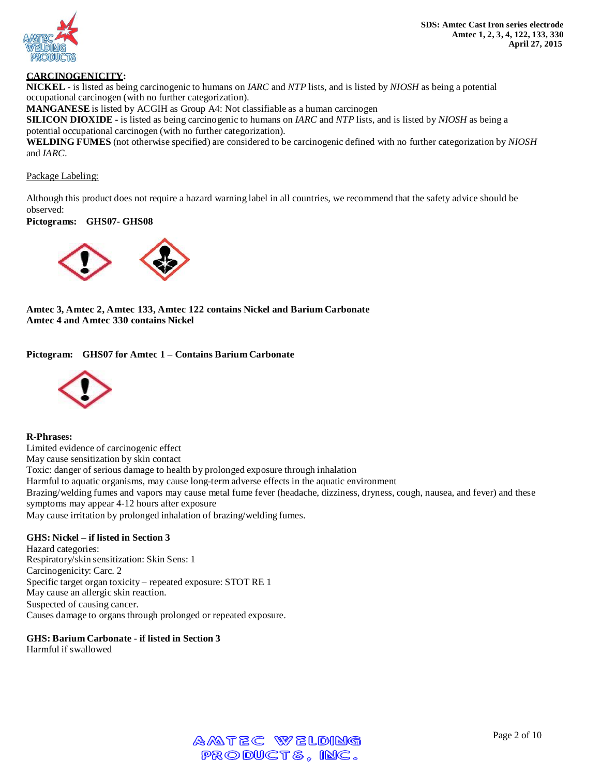



# **CARCINOGENICITY:**

**NICKEL** - is listed as being carcinogenic to humans on *IARC* and *NTP* lists, and is listed by *NIOSH* as being a potential occupational carcinogen (with no further categorization).

**MANGANESE** is listed by ACGIH as Group A4: Not classifiable as a human carcinogen

**SILICON DIOXIDE -** is listed as being carcinogenic to humans on *IARC* and *NTP* lists, and is listed by *NIOSH* as being a potential occupational carcinogen (with no further categorization).

**WELDING FUMES** (not otherwise specified) are considered to be carcinogenic defined with no further categorization by *NIOSH* and *IARC*.

#### Package Labeling:

Although this product does not require a hazard warning label in all countries, we recommend that the safety advice should be observed:

### **Pictograms: GHS07- GHS08**



**Amtec 3, Amtec 2, Amtec 133, Amtec 122 contains Nickel and Barium Carbonate Amtec 4 and Amtec 330 contains Nickel**

**Pictogram: GHS07 for Amtec 1 – Contains Barium Carbonate**



#### **R-Phrases:**

Limited evidence of carcinogenic effect May cause sensitization by skin contact Toxic: danger of serious damage to health by prolonged exposure through inhalation Harmful to aquatic organisms, may cause long-term adverse effects in the aquatic environment Brazing/welding fumes and vapors may cause metal fume fever (headache, dizziness, dryness, cough, nausea, and fever) and these symptoms may appear 4-12 hours after exposure May cause irritation by prolonged inhalation of brazing/welding fumes.

#### **GHS: Nickel – if listed in Section 3**

Hazard categories: Respiratory/skin sensitization: Skin Sens: 1 Carcinogenicity: Carc. 2 Specific target organ toxicity – repeated exposure: STOT RE 1 May cause an allergic skin reaction. Suspected of causing cancer. Causes damage to organs through prolonged or repeated exposure.

# **GHS: Barium Carbonate - if listed in Section 3**

Harmful if swallowed

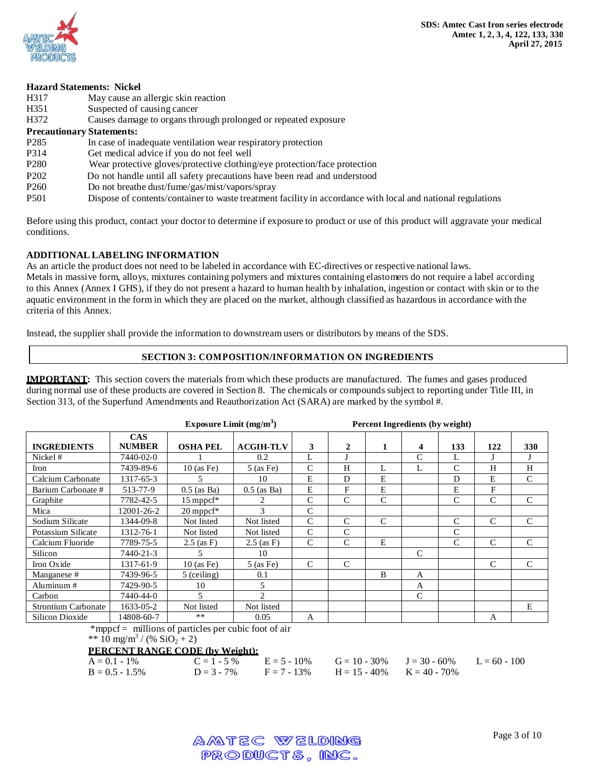

# **Hazard Statements: Nickel** H317 May cause an allergic skin reaction H351 Suspected of causing cancer H372 Causes damage to organs through prolonged or repeated exposure **Precautionary Statements:** P285 In case of inadequate ventilation wear respiratory protection P314 Get medical advice if you do not feel well P280 Wear protective gloves/protective clothing/eye protection/face protection P202 Do not handle until all safety precautions have been read and understood P260 Do not breathe dust/fume/gas/mist/vapors/spray P501 Dispose of contents/container to waste treatment facility in accordance with local and national regulations

Before using this product, contact your doctor to determine if exposure to product or use of this product will aggravate your medical conditions.

# **ADDITIONAL LABELING INFORMATION**

As an article the product does not need to be labeled in accordance with EC-directives or respective national laws. Metals in massive form, alloys, mixtures containing polymers and mixtures containing elastomers do not require a label according to this Annex (Annex I GHS), if they do not present a hazard to human health by inhalation, ingestion or contact with skin or to the aquatic environment in the form in which they are placed on the market, although classified as hazardous in accordance with the criteria of this Annex.

Instead, the supplier shall provide the information to downstream users or distributors by means of the SDS.

# **SECTION 3: COMPOSITION/INFORMATION ON INGREDIENTS**

**IMPORTANT:** This section covers the materials from which these products are manufactured. The fumes and gases produced during normal use of these products are covered in Section 8. The chemicals or compounds subject to reporting under Title III, in Section 313, of the Superfund Amendments and Reauthorization Act (SARA) are marked by the symbol #.

|                            |                             | Exposure Limit $(mg/m3)$ |                             |               |               |               | Percent Ingredients (by weight) |               |              |               |
|----------------------------|-----------------------------|--------------------------|-----------------------------|---------------|---------------|---------------|---------------------------------|---------------|--------------|---------------|
| <b>INGREDIENTS</b>         | <b>CAS</b><br><b>NUMBER</b> | <b>OSHA PEL</b>          | <b>ACGIH-TLV</b>            | 3             | 2             | 1             | 4                               | 133           | 122          | 330           |
| Nickel #                   | 7440-02-0                   |                          | 0.2                         | L             |               |               | C                               | L             |              |               |
| Iron                       | 7439-89-6                   | $10$ (as Fe)             | $5$ (as Fe)                 | C             | H             | L             | L                               | C             | H            | H             |
| Calcium Carbonate          | 1317-65-3                   | 5                        | 10                          | E             | D             | E             |                                 | D             | E            | $\mathcal{C}$ |
| Barium Carbonate #         | 513-77-9                    | $0.5$ (as Ba)            | $0.5$ (as Ba)               | E             | $\mathbf{F}$  | E             |                                 | E             | F            |               |
| Graphite                   | 7782-42-5                   | 15 mppcf*                | 2                           | $\mathcal{C}$ | $\mathcal{C}$ | C             |                                 | $\mathcal{C}$ | C            | $\mathcal{C}$ |
| Mica                       | 12001-26-2                  | $20$ mppcf*              | 3                           | $\mathcal{C}$ |               |               |                                 |               |              |               |
| Sodium Silicate            | 1344-09-8                   | Not listed               | Not listed                  | $\mathsf{C}$  | C             | $\mathcal{C}$ |                                 | $\mathcal{C}$ | $\mathsf{C}$ | $\mathcal{C}$ |
| Potassium Silicate         | 1312-76-1                   | Not listed               | Not listed                  | $\mathcal{C}$ | C             |               |                                 | C             |              |               |
| Calcium Fluoride           | 7789-75-5                   | $2.5$ (as F)             | $2.5$ (as F)                | $\mathcal{C}$ | C             | E             |                                 | $\mathcal{C}$ | $\mathsf{C}$ | $\mathcal{C}$ |
| Silicon                    | 7440-21-3                   | 5                        | 10                          |               |               |               | C                               |               |              |               |
| Iron Oxide                 | 1317-61-9                   | $10$ (as Fe)             | $5$ (as Fe)                 | $\mathcal{C}$ | C             |               |                                 |               | C            | $\mathcal{C}$ |
| Manganese #                | 7439-96-5                   | $5$ (ceiling)            | 0.1                         |               |               | B             | A                               |               |              |               |
| Aluminum#                  | 7429-90-5                   | 10                       | 5                           |               |               |               | A                               |               |              |               |
| Carbon                     | 7440-44-0                   | 5                        | $\mathcal{D}_{\mathcal{L}}$ |               |               |               | $\mathcal{C}$                   |               |              |               |
| <b>Strontium Carbonate</b> | 1633-05-2                   | Not listed               | Not listed                  |               |               |               |                                 |               |              | E             |
| Silicon Dioxide            | 14808-60-7                  | **                       | 0.05                        | $\mathsf{A}$  |               |               |                                 |               | $\mathsf{A}$ |               |

\*mppcf = millions of particles per cubic foot of air

\*\*  $\frac{1}{10}$  mg/m<sup>3</sup> / (% SiO<sub>2</sub> + 2)

# **PERCENT RANGE CODE (by Weight):**

| $A = 0.1 - 1\%$   |  |                                                              | $C = 1 - 5\%$ $E = 5 - 10\%$ $G = 10 - 30\%$ $J = 30 - 60\%$ $L = 60 - 100$ |  |
|-------------------|--|--------------------------------------------------------------|-----------------------------------------------------------------------------|--|
| $B = 0.5 - 1.5\%$ |  | $D = 3 - 7\%$ $F = 7 - 13\%$ $H = 15 - 40\%$ $K = 40 - 70\%$ |                                                                             |  |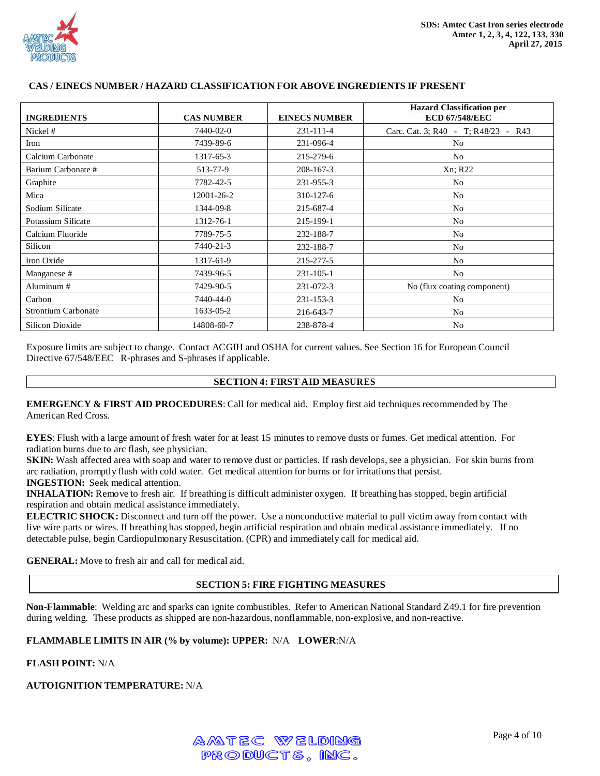

| <b>INGREDIENTS</b>         | <b>CAS NUMBER</b> | <b>EINECS NUMBER</b> | <b>Hazard Classification per</b><br><b>ECD 67/548/EEC</b> |
|----------------------------|-------------------|----------------------|-----------------------------------------------------------|
| Nickel #                   | 7440-02-0         | 231-111-4            | Carc. Cat. 3; R40 - T; R48/23 - R43                       |
| Iron                       | 7439-89-6         | 231-096-4            | N <sub>0</sub>                                            |
| Calcium Carbonate          | 1317-65-3         | 215-279-6            | No                                                        |
| Barium Carbonate #         | 513-77-9          | $208 - 167 - 3$      | Xn; R22                                                   |
| Graphite                   | 7782-42-5         | 231-955-3            | N <sub>o</sub>                                            |
| Mica                       | 12001-26-2        | 310-127-6            | N <sub>o</sub>                                            |
| Sodium Silicate            | 1344-09-8         | 215-687-4            | N <sub>o</sub>                                            |
| Potassium Silicate         | 1312-76-1         | 215-199-1            | No                                                        |
| Calcium Fluoride           | 7789-75-5         | 232-188-7            | N <sub>o</sub>                                            |
| Silicon                    | 7440-21-3         | 232-188-7            | N <sub>o</sub>                                            |
| Iron Oxide                 | 1317-61-9         | 215-277-5            | N <sub>o</sub>                                            |
| Manganese #                | 7439-96-5         | $231 - 105 - 1$      | N <sub>o</sub>                                            |
| Aluminum #                 | 7429-90-5         | 231-072-3            | No (flux coating component)                               |
| Carbon                     | 7440-44-0         | 231-153-3            | No                                                        |
| <b>Strontium Carbonate</b> | 1633-05-2         | 216-643-7            | No                                                        |
| Silicon Dioxide            | 14808-60-7        | 238-878-4            | N <sub>o</sub>                                            |

### **CAS / EINECS NUMBER / HAZARD CLASSIFICATION FOR ABOVE INGREDIENTS IF PRESENT**

Exposure limits are subject to change. Contact ACGIH and OSHA for current values. See Section 16 for European Council Directive 67/548/EEC R-phrases and S-phrases if applicable.

#### **SECTION 4: FIRST AID MEASURES**

**EMERGENCY & FIRST AID PROCEDURES**: Call for medical aid. Employ first aid techniques recommended by The American Red Cross.

**EYES**: Flush with a large amount of fresh water for at least 15 minutes to remove dusts or fumes. Get medical attention. For radiation burns due to arc flash, see physician.

**SKIN:** Wash affected area with soap and water to remove dust or particles. If rash develops, see a physician. For skin burns from arc radiation, promptly flush with cold water. Get medical attention for burns or for irritations that persist. **INGESTION:** Seek medical attention.

**INHALATION:** Remove to fresh air. If breathing is difficult administer oxygen. If breathing has stopped, begin artificial respiration and obtain medical assistance immediately.

**ELECTRIC SHOCK:** Disconnect and turn off the power. Use a nonconductive material to pull victim away from contact with live wire parts or wires. If breathing has stopped, begin artificial respiration and obtain medical assistance immediately. If no detectable pulse, begin Cardiopulmonary Resuscitation. (CPR) and immediately call for medical aid.

**GENERAL:** Move to fresh air and call for medical aid.

#### **SECTION 5: FIRE FIGHTING MEASURES**

**Non-Flammable**: Welding arc and sparks can ignite combustibles. Refer to American National Standard Z49.1 for fire prevention during welding. These products as shipped are non-hazardous, nonflammable, non-explosive, and non-reactive.

### **FLAMMABLE LIMITS IN AIR (% by volume): UPPER:** N/A **LOWER**:N/A

### **FLASH POINT:** N/A

# **AUTOIGNITION TEMPERATURE:** N/A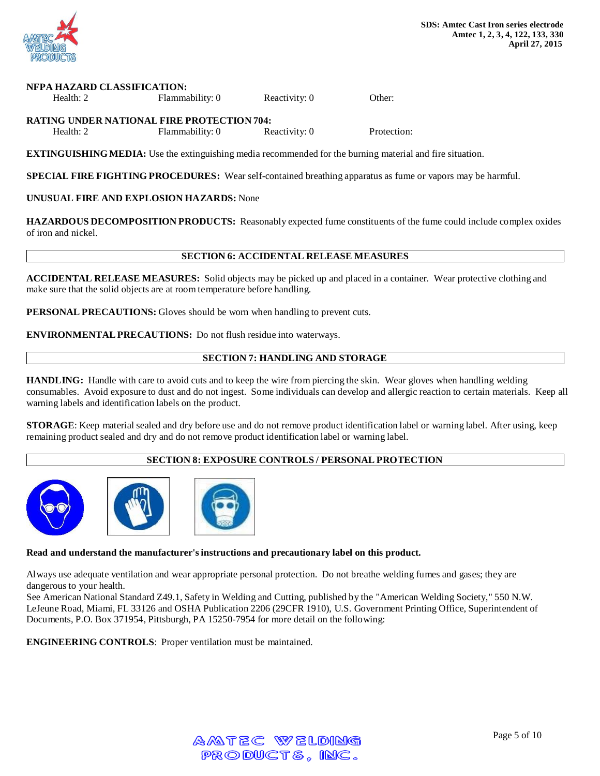

#### **NFPA HAZARD CLASSIFICATION:**

| Health: 2 | Flammability: 0                               | Reactivity: 0 | Other: |
|-----------|-----------------------------------------------|---------------|--------|
|           | A IMBIO UNIDED VI MIOVI I TIDE DDOMEODIOVEA L |               |        |

**RATING UNDER NATIONAL FIRE PROTECTION 704:** Health: 2 Flammability: 0 Reactivity: 0 Protection:

**EXTINGUISHING MEDIA:** Use the extinguishing media recommended for the burning material and fire situation.

**SPECIAL FIRE FIGHTING PROCEDURES:** Wear self-contained breathing apparatus as fume or vapors may be harmful.

**UNUSUAL FIRE AND EXPLOSION HAZARDS:** None

**HAZARDOUS DECOMPOSITION PRODUCTS:** Reasonably expected fume constituents of the fume could include complex oxides of iron and nickel.

#### **SECTION 6: ACCIDENTAL RELEASE MEASURES**

**ACCIDENTAL RELEASE MEASURES:** Solid objects may be picked up and placed in a container. Wear protective clothing and make sure that the solid objects are at room temperature before handling.

**PERSONAL PRECAUTIONS:** Gloves should be worn when handling to prevent cuts.

**ENVIRONMENTALPRECAUTIONS:** Do not flush residue into waterways.

# **SECTION 7: HANDLING AND STORAGE**

**HANDLING:** Handle with care to avoid cuts and to keep the wire from piercing the skin. Wear gloves when handling welding consumables. Avoid exposure to dust and do not ingest. Some individuals can develop and allergic reaction to certain materials. Keep all warning labels and identification labels on the product.

**STORAGE**: Keep material sealed and dry before use and do not remove product identification label or warning label. After using, keep remaining product sealed and dry and do not remove product identification label or warning label.

# **SECTION 8: EXPOSURE CONTROLS / PERSONAL PROTECTION**



#### **Read and understand the manufacturer'sinstructions and precautionary label on this product.**

Always use adequate ventilation and wear appropriate personal protection. Do not breathe welding fumes and gases; they are dangerous to your health.

See American National Standard Z49.1, Safety in Welding and Cutting, published by the "American Welding Society," 550 N.W. LeJeune Road, Miami, FL 33126 and OSHA Publication 2206 (29CFR 1910), U.S. Government Printing Office, Superintendent of Documents, P.O. Box 371954, Pittsburgh, PA 15250-7954 for more detail on the following:

**ENGINEERING CONTROLS**: Proper ventilation must be maintained.

| AMTEC WELDING  |  |
|----------------|--|
| PRODUCTS, INC. |  |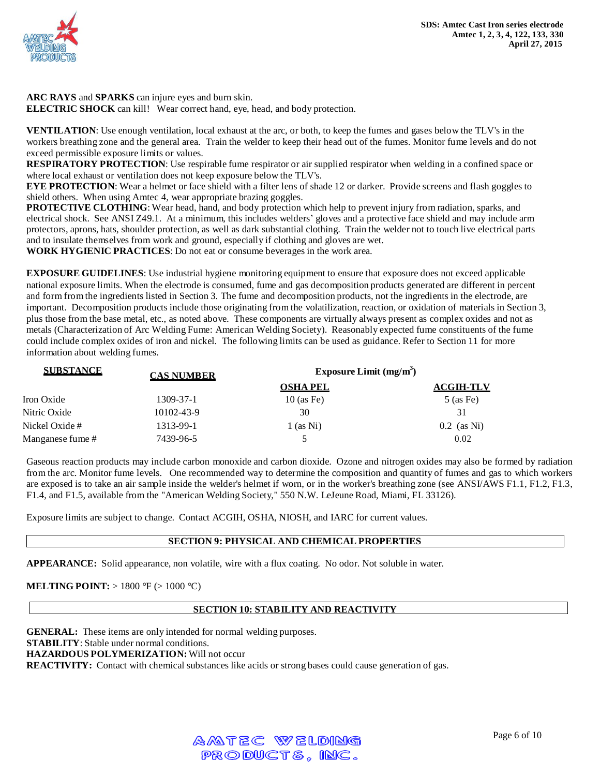

**ARC RAYS** and **SPARKS** can injure eyes and burn skin. **ELECTRIC SHOCK** can kill! Wear correct hand, eye, head, and body protection.

**VENTILATION**: Use enough ventilation, local exhaust at the arc, or both, to keep the fumes and gases below the TLV's in the workers breathing zone and the general area. Train the welder to keep their head out of the fumes. Monitor fume levels and do not exceed permissible exposure limits or values.

**RESPIRATORY PROTECTION**: Use respirable fume respirator or air supplied respirator when welding in a confined space or where local exhaust or ventilation does not keep exposure below the TLV's.

**EYE PROTECTION**: Wear a helmet or face shield with a filter lens of shade 12 or darker. Provide screens and flash goggles to shield others. When using Amtec 4, wear appropriate brazing goggles.

**PROTECTIVE CLOTHING**: Wear head, hand, and body protection which help to prevent injury from radiation, sparks, and electrical shock. See ANSI Z49.1. At a minimum, this includes welders' gloves and a protective face shield and may include arm protectors, aprons, hats, shoulder protection, as well as dark substantial clothing. Train the welder not to touch live electrical parts and to insulate themselves from work and ground, especially if clothing and gloves are wet. **WORK HYGIENIC PRACTICES**: Do not eat or consume beverages in the work area.

**EXPOSURE GUIDELINES**: Use industrial hygiene monitoring equipment to ensure that exposure does not exceed applicable national exposure limits. When the electrode is consumed, fume and gas decomposition products generated are different in percent and form fromthe ingredients listed in Section 3. The fume and decomposition products, not the ingredients in the electrode, are important. Decomposition products include those originating from the volatilization, reaction, or oxidation of materials in Section 3, plus those from the base metal, etc., as noted above. These components are virtually always present as complex oxides and not as metals (Characterization of Arc Welding Fume: American Welding Society). Reasonably expected fume constituents of the fume could include complex oxides of iron and nickel. The following limits can be used as guidance. Refer to Section 11 for more information about welding fumes.

| <b>SUBSTANCE</b> | <b>CAS NUMBER</b> | Exposure Limit $(mg/m3)$ |                  |
|------------------|-------------------|--------------------------|------------------|
|                  |                   | <b>OSHA PEL</b>          | <b>ACGIH-TLV</b> |
| Iron Oxide       | 1309-37-1         | $10$ (as Fe)             | $5$ (as Fe)      |
| Nitric Oxide     | 10102-43-9        | 30                       | 31               |
| Nickel Oxide #   | 1313-99-1         | $1$ (as Ni)              | $0.2$ (as Ni)    |
| Manganese fume # | 7439-96-5         |                          | 0.02             |

Gaseous reaction products may include carbon monoxide and carbon dioxide. Ozone and nitrogen oxides may also be formed by radiation from the arc. Monitor fume levels. One recommended way to determine the composition and quantity of fumes and gas to which workers are exposed is to take an air sample inside the welder's helmet if worn, or in the worker's breathing zone (see ANSI/AWS F1.1, F1.2, F1.3, F1.4, and F1.5, available from the "American Welding Society," 550 N.W. LeJeune Road, Miami, FL 33126).

Exposure limits are subject to change. Contact ACGIH, OSHA, NIOSH, and IARC for current values.

# **SECTION 9: PHYSICAL AND CHEMICAL PROPERTIES**

**APPEARANCE:** Solid appearance, non volatile, wire with a flux coating. No odor. Not soluble in water.

**MELTING POINT:** > 1800 °F (> 1000 °C)

# **SECTION 10: STABILITY AND REACTIVITY**

**GENERAL:** These items are only intended for normal welding purposes. **STABILITY**: Stable under normal conditions. **HAZARDOUS POLYMERIZATION:** Will not occur **REACTIVITY:** Contact with chemical substances like acids or strong bases could cause generation of gas.

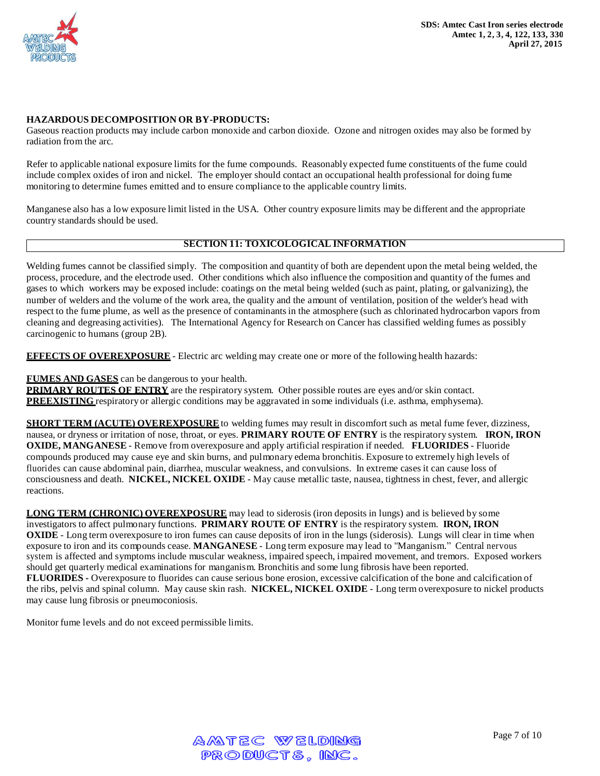

# **HAZARDOUS DECOMPOSITION OR BY-PRODUCTS:**

Gaseous reaction products may include carbon monoxide and carbon dioxide. Ozone and nitrogen oxides may also be formed by radiation from the arc.

Refer to applicable national exposure limits for the fume compounds. Reasonably expected fume constituents of the fume could include complex oxides of iron and nickel. The employer should contact an occupational health professional for doing fume monitoring to determine fumes emitted and to ensure compliance to the applicable country limits.

Manganese also has a low exposure limit listed in the USA. Other country exposure limits may be different and the appropriate country standards should be used.

# **SECTION 11: TOXICOLOGICAL INFORMATION**

Welding fumes cannot be classified simply. The composition and quantity of both are dependent upon the metal being welded, the process, procedure, and the electrode used. Other conditions which also influence the composition and quantity of the fumes and gases to which workers may be exposed include: coatings on the metal being welded (such as paint, plating, or galvanizing), the number of welders and the volume of the work area, the quality and the amount of ventilation, position of the welder's head with respect to the fume plume, as well as the presence of contaminantsin the atmosphere (such as chlorinated hydrocarbon vapors from cleaning and degreasing activities). The International Agency for Research on Cancer has classified welding fumes as possibly carcinogenic to humans (group 2B).

**EFFECTS OF OVEREXPOSURE** - Electric arc welding may create one or more of the following health hazards:

#### **FUMES AND GASES** can be dangerous to your health.

**PRIMARY ROUTES OF ENTRY** are the respiratory system. Other possible routes are eyes and/or skin contact. **PREEXISTING** respiratory or allergic conditions may be aggravated in some individuals (i.e. asthma, emphysema).

**SHORT TERM (ACUTE) OVEREXPOSURE**to welding fumes may result in discomfort such as metal fume fever, dizziness, nausea, or dryness or irritation of nose, throat, or eyes. **PRIMARY ROUTE OF ENTRY** is the respiratory system. **IRON, IRON OXIDE, MANGANESE** - Remove from overexposure and apply artificial respiration if needed. **FLUORIDES** - Fluoride compounds produced may cause eye and skin burns, and pulmonary edema bronchitis. Exposure to extremely high levels of fluorides can cause abdominal pain, diarrhea, muscular weakness, and convulsions. In extreme cases it can cause loss of consciousness and death. **NICKEL, NICKEL OXIDE** - May cause metallic taste, nausea, tightness in chest, fever, and allergic reactions.

**LONG TERM (CHRONIC) OVEREXPOSURE** may lead to siderosis (iron deposits in lungs) and is believed by some investigators to affect pulmonary functions. **PRIMARY ROUTE OF ENTRY** is the respiratory system. **IRON, IRON OXIDE** - Long term overexposure to iron fumes can cause deposits of iron in the lungs (siderosis). Lungs will clear in time when exposure to iron and its compounds cease. **MANGANESE** - Long term exposure may lead to "Manganism." Central nervous system is affected and symptoms include muscular weakness, impaired speech, impaired movement, and tremors. Exposed workers should get quarterly medical examinations for manganism. Bronchitis and some lung fibrosis have been reported. **FLUORIDES -** Overexposure to fluorides can cause serious bone erosion, excessive calcification of the bone and calcification of the ribs, pelvis and spinal column. May cause skin rash. **NICKEL, NICKEL OXIDE** - Long term overexposure to nickel products may cause lung fibrosis or pneumoconiosis.

Monitor fume levels and do not exceed permissible limits.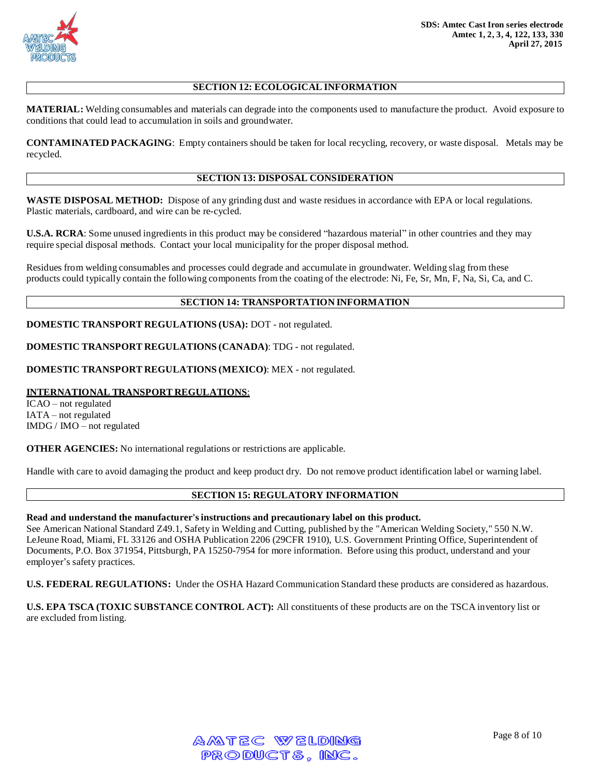

# **SECTION 12: ECOLOGICAL INFORMATION**

**MATERIAL:** Welding consumables and materials can degrade into the components used to manufacture the product. Avoid exposure to conditions that could lead to accumulation in soils and groundwater.

**CONTAMINATED PACKAGING**: Empty containers should be taken for local recycling, recovery, or waste disposal. Metals may be recycled.

#### **SECTION 13: DISPOSAL CONSIDERATION**

**WASTE DISPOSAL METHOD:** Dispose of any grinding dust and waste residues in accordance with EPA or local regulations. Plastic materials, cardboard, and wire can be re-cycled.

**U.S.A. RCRA**: Some unused ingredients in this product may be considered "hazardous material" in other countries and they may require special disposal methods. Contact your local municipality for the proper disposal method.

Residues from welding consumables and processes could degrade and accumulate in groundwater. Welding slag from these products could typically contain the following components from the coating of the electrode: Ni, Fe, Sr, Mn, F, Na, Si, Ca, and C.

#### **SECTION 14: TRANSPORTATION INFORMATION**

**DOMESTIC TRANSPORT REGULATIONS (USA):** DOT - not regulated.

**DOMESTIC TRANSPORT REGULATIONS (CANADA)**: TDG - not regulated.

**DOMESTIC TRANSPORT REGULATIONS (MEXICO)**: MEX - not regulated.

### **INTERNATIONAL TRANSPORT REGULATIONS**:

ICAO – not regulated IATA – not regulated IMDG / IMO – not regulated

**OTHER AGENCIES:** No international regulations or restrictions are applicable.

Handle with care to avoid damaging the product and keep product dry. Do not remove product identification label or warning label.

#### **SECTION 15: REGULATORY INFORMATION**

#### **Read and understand the manufacturer'sinstructions and precautionary label on this product.**

See American National Standard Z49.1, Safety in Welding and Cutting, published by the "American Welding Society," 550 N.W. LeJeune Road, Miami, FL 33126 and OSHA Publication 2206 (29CFR 1910), U.S. Government Printing Office, Superintendent of Documents, P.O. Box 371954, Pittsburgh, PA 15250-7954 for more information. Before using this product, understand and your employer's safety practices.

**U.S. FEDERAL REGULATIONS:** Under the OSHA Hazard Communication Standard these products are considered as hazardous.

**U.S. EPA TSCA (TOXIC SUBSTANCE CONTROL ACT):** All constituents of these products are on the TSCA inventory list or are excluded from listing.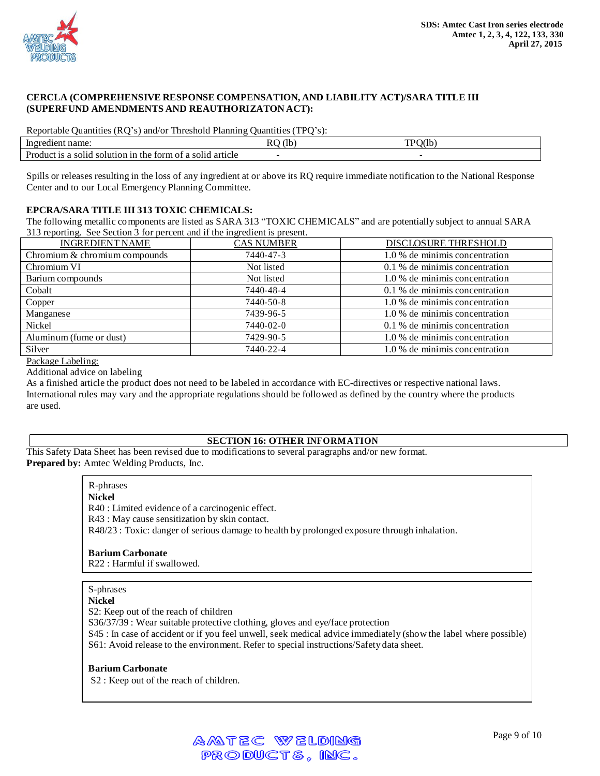

### **CERCLA (COMPREHENSIVE RESPONSE COMPENSATION, AND LIABILITY ACT)/SARA TITLE III (SUPERFUND AMENDMENTS AND REAUTHORIZATON ACT):**

Reportable Quantities (RQ's) and/or Threshold Planning Quantities (TPQ's):

| ln gi<br>ЧIН.                                                                             | mr<br>$\sim$ $\sim$<br>.<br>. . |
|-------------------------------------------------------------------------------------------|---------------------------------|
| Product<br>torm<br>article<br>the<br>-solid<br> 11†10†1 11<br>c<br>-SOI10<br>`∩ ו<br>-801 |                                 |

Spills or releases resulting in the loss of any ingredient at or above its RQ require immediate notification to the National Response Center and to our Local Emergency Planning Committee.

# **EPCRA/SARA TITLE III 313 TOXIC CHEMICALS:**

The following metallic components are listed as SARA 313 "TOXIC CHEMICALS" and are potentially subject to annual SARA 313 reporting. See Section 3 for percent and if the ingredient is present.

| <b>INGREDIENT NAME</b>        | <b>CAS NUMBER</b> | DISCLOSURE THRESHOLD           |
|-------------------------------|-------------------|--------------------------------|
| Chromium & chromium compounds | 7440-47-3         | 1.0 % de minimis concentration |
| Chromium VI                   | Not listed        | 0.1 % de minimis concentration |
| Barium compounds              | Not listed        | 1.0 % de minimis concentration |
| Cobalt                        | 7440-48-4         | 0.1 % de minimis concentration |
| Copper                        | 7440-50-8         | 1.0 % de minimis concentration |
| Manganese                     | 7439-96-5         | 1.0 % de minimis concentration |
| Nickel                        | 7440-02-0         | 0.1 % de minimis concentration |
| Aluminum (fume or dust)       | 7429-90-5         | 1.0 % de minimis concentration |
| Silver                        | 7440-22-4         | 1.0 % de minimis concentration |

Package Labeling:

Additional advice on labeling

As a finished article the product does not need to be labeled in accordance with EC-directives or respective national laws. International rules may vary and the appropriate regulations should be followed as defined by the country where the products are used.

# **SECTION 16: OTHER INFORMATION**

This Safety Data Sheet has been revised due to modificationsto several paragraphs and/or new format. **Prepared by:** Amtec Welding Products, Inc.

> R-phrases **Nickel** R40 : Limited evidence of a carcinogenic effect. R43 : May cause sensitization by skin contact. R48/23 : Toxic: danger of serious damage to health by prolonged exposure through inhalation.

**Barium Carbonate**

R22 : Harmful if swallowed.

#### S-phrases

#### **Nickel**

S2: Keep out of the reach of children

S36/37/39 : Wear suitable protective clothing, gloves and eye/face protection

S45 : In case of accident or if you feel unwell, seek medical advice immediately (show the label where possible) S61: Avoid release to the environment. Refer to special instructions/Safety data sheet.

#### **Barium Carbonate**

S2 : Keep out of the reach of children.